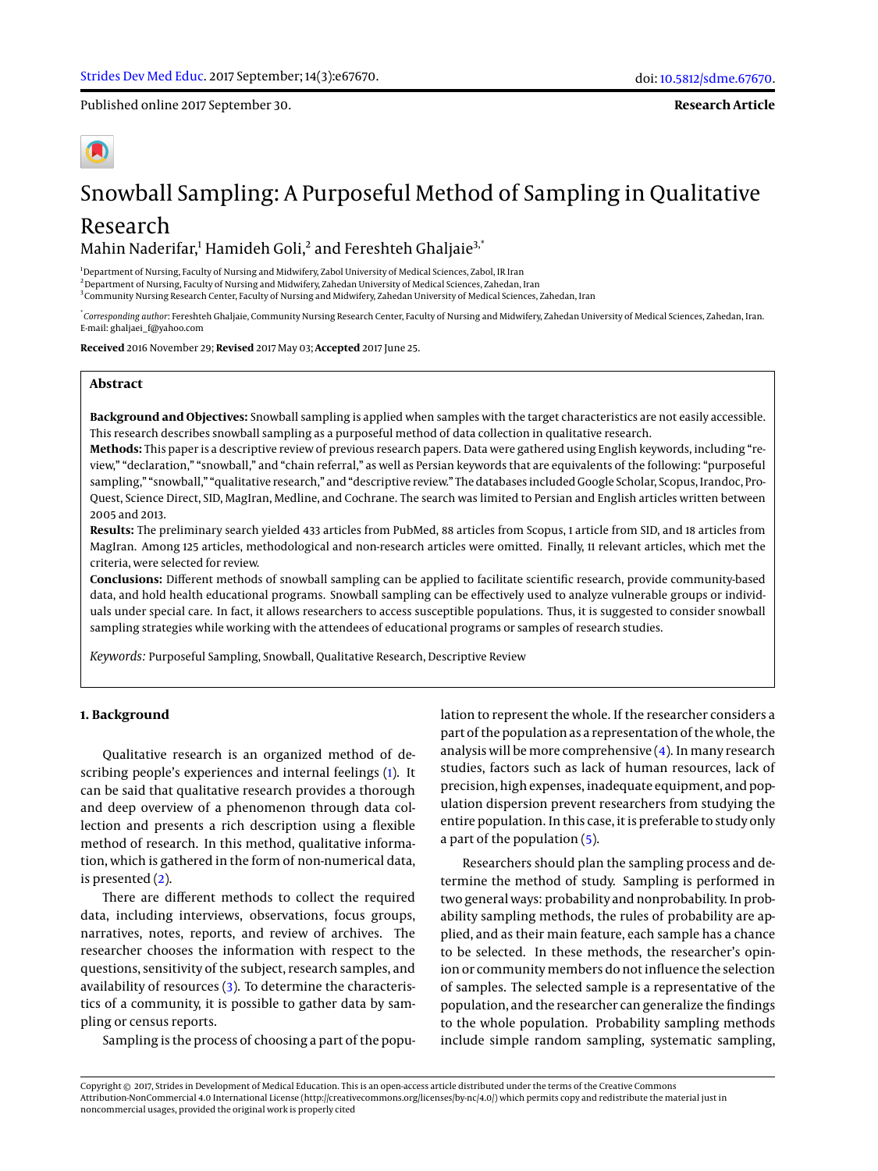Published online 2017 September 30.

**Research Article**

# Snowball Sampling: A Purposeful Method of Sampling in Qualitative

# Research Mahin Naderifar, $^1$  Hamideh Goli, $^2$  and Fereshteh Ghaljaie $^{3,^{\ast}}$

<sup>1</sup>Department of Nursing, Faculty of Nursing and Midwifery, Zabol University of Medical Sciences, Zabol, IR Iran <sup>2</sup> Department of Nursing, Faculty of Nursing and Midwifery, Zahedan University of Medical Sciences, Zahedan, Iran 3 Community Nursing Research Center, Faculty of Nursing and Midwifery, Zahedan University of Medical Sciences, Zahedan, Iran

\* *Corresponding author*: Fereshteh Ghaljaie, Community Nursing Research Center, Faculty of Nursing and Midwifery, Zahedan University of Medical Sciences, Zahedan, Iran. E-mail: ghaljaei\_f@yahoo.com

**Received** 2016 November 29; **Revised** 2017 May 03; **Accepted** 2017 June 25.

# **Abstract**

**Background and Objectives:** Snowball sampling is applied when samples with the target characteristics are not easily accessible. This research describes snowball sampling as a purposeful method of data collection in qualitative research.

**Methods:** This paper is a descriptive review of previous research papers. Data were gathered using English keywords, including "review," "declaration," "snowball," and "chain referral," as well as Persian keywords that are equivalents of the following: "purposeful sampling," "snowball," "qualitative research," and "descriptive review." The databases included Google Scholar, Scopus, Irandoc, Pro-Quest, Science Direct, SID, MagIran, Medline, and Cochrane. The search was limited to Persian and English articles written between 2005 and 2013.

**Results:** The preliminary search yielded 433 articles from PubMed, 88 articles from Scopus, 1 article from SID, and 18 articles from MagIran. Among 125 articles, methodological and non-research articles were omitted. Finally, 11 relevant articles, which met the criteria, were selected for review.

**Conclusions:** Different methods of snowball sampling can be applied to facilitate scientific research, provide community-based data, and hold health educational programs. Snowball sampling can be effectively used to analyze vulnerable groups or individuals under special care. In fact, it allows researchers to access susceptible populations. Thus, it is suggested to consider snowball sampling strategies while working with the attendees of educational programs or samples of research studies.

*Keywords:* Purposeful Sampling, Snowball, Qualitative Research, Descriptive Review

#### **1. Background**

Qualitative research is an organized method of describing people's experiences and internal feelings [\(1\)](#page-2-0). It can be said that qualitative research provides a thorough and deep overview of a phenomenon through data collection and presents a rich description using a flexible method of research. In this method, qualitative information, which is gathered in the form of non-numerical data, is presented [\(2\)](#page-3-0).

There are different methods to collect the required data, including interviews, observations, focus groups, narratives, notes, reports, and review of archives. The researcher chooses the information with respect to the questions, sensitivity of the subject, research samples, and availability of resources [\(3\)](#page-3-1). To determine the characteristics of a community, it is possible to gather data by sampling or census reports.

Sampling is the process of choosing a part of the popu-

lation to represent the whole. If the researcher considers a part of the population as a representation of the whole, the analysis will be more comprehensive [\(4\)](#page-3-2). In many research studies, factors such as lack of human resources, lack of precision, high expenses, inadequate equipment, and population dispersion prevent researchers from studying the entire population. In this case, it is preferable to study only a part of the population [\(5\)](#page-3-3).

Researchers should plan the sampling process and determine the method of study. Sampling is performed in two general ways: probability and nonprobability. In probability sampling methods, the rules of probability are applied, and as their main feature, each sample has a chance to be selected. In these methods, the researcher's opinion or community members do not influence the selection of samples. The selected sample is a representative of the population, and the researcher can generalize the findings to the whole population. Probability sampling methods include simple random sampling, systematic sampling,

Copyright © 2017, Strides in Development of Medical Education. This is an open-access article distributed under the terms of the Creative Commons Attribution-NonCommercial 4.0 International License (http://creativecommons.org/licenses/by-nc/4.0/) which permits copy and redistribute the material just in noncommercial usages, provided the original work is properly cited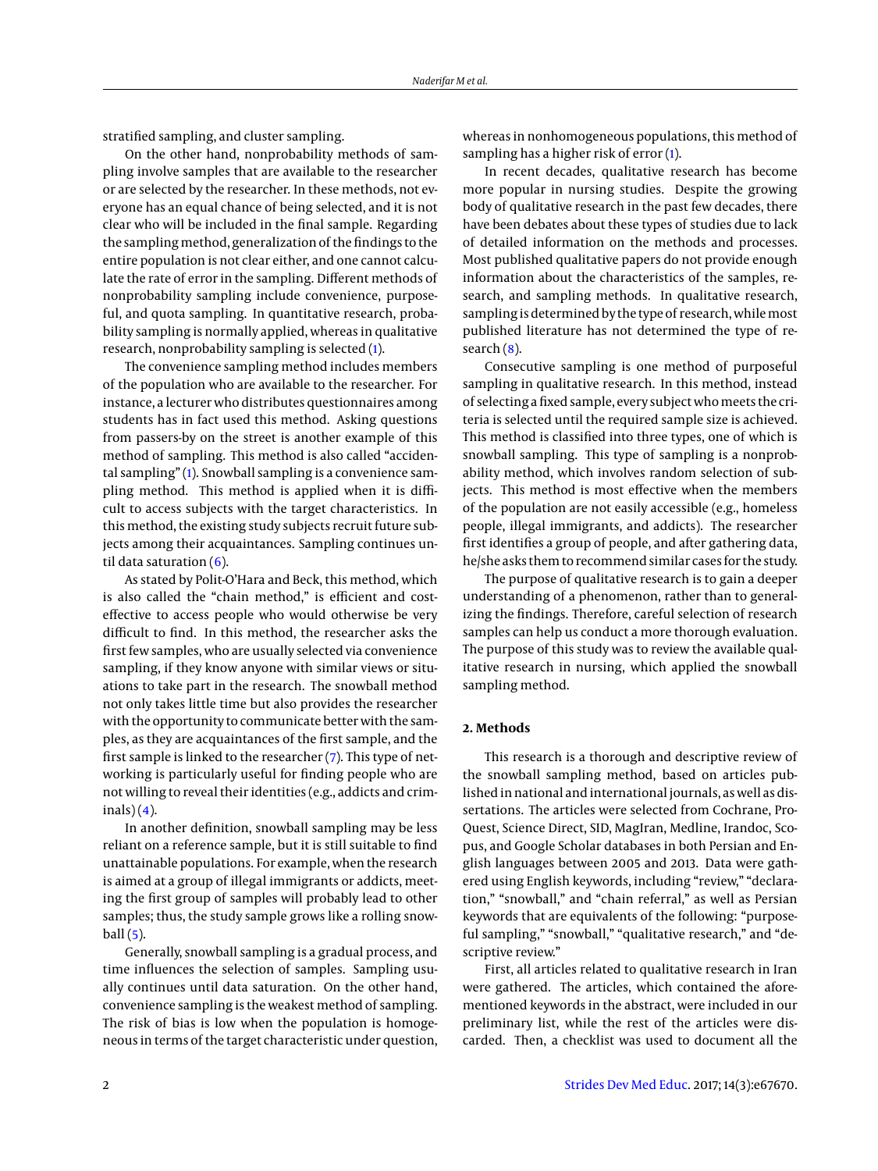stratified sampling, and cluster sampling.

On the other hand, nonprobability methods of sampling involve samples that are available to the researcher or are selected by the researcher. In these methods, not everyone has an equal chance of being selected, and it is not clear who will be included in the final sample. Regarding the sampling method, generalization of the findings to the entire population is not clear either, and one cannot calculate the rate of error in the sampling. Different methods of nonprobability sampling include convenience, purposeful, and quota sampling. In quantitative research, probability sampling is normally applied, whereas in qualitative research, nonprobability sampling is selected [\(1\)](#page-2-0).

The convenience sampling method includes members of the population who are available to the researcher. For instance, a lecturer who distributes questionnaires among students has in fact used this method. Asking questions from passers-by on the street is another example of this method of sampling. This method is also called "accidental sampling" [\(1\)](#page-2-0). Snowball sampling is a convenience sampling method. This method is applied when it is difficult to access subjects with the target characteristics. In this method, the existing study subjects recruit future subjects among their acquaintances. Sampling continues until data saturation  $(6)$ .

As stated by Polit-O'Hara and Beck, this method, which is also called the "chain method," is efficient and costeffective to access people who would otherwise be very difficult to find. In this method, the researcher asks the first few samples, who are usually selected via convenience sampling, if they know anyone with similar views or situations to take part in the research. The snowball method not only takes little time but also provides the researcher with the opportunity to communicate better with the samples, as they are acquaintances of the first sample, and the first sample is linked to the researcher [\(7\)](#page-3-5). This type of networking is particularly useful for finding people who are not willing to reveal their identities (e.g., addicts and crim- $inals(4)$  $inals(4)$ .

In another definition, snowball sampling may be less reliant on a reference sample, but it is still suitable to find unattainable populations. For example, when the research is aimed at a group of illegal immigrants or addicts, meeting the first group of samples will probably lead to other samples; thus, the study sample grows like a rolling snowball $(5)$ .

Generally, snowball sampling is a gradual process, and time influences the selection of samples. Sampling usually continues until data saturation. On the other hand, convenience sampling is the weakest method of sampling. The risk of bias is low when the population is homogeneous in terms of the target characteristic under question,

whereas in nonhomogeneous populations, this method of sampling has a higher risk of error [\(1\)](#page-2-0).

In recent decades, qualitative research has become more popular in nursing studies. Despite the growing body of qualitative research in the past few decades, there have been debates about these types of studies due to lack of detailed information on the methods and processes. Most published qualitative papers do not provide enough information about the characteristics of the samples, research, and sampling methods. In qualitative research, sampling is determined by the type of research, while most published literature has not determined the type of research  $(8)$ .

Consecutive sampling is one method of purposeful sampling in qualitative research. In this method, instead of selecting a fixed sample, every subject whomeets the criteria is selected until the required sample size is achieved. This method is classified into three types, one of which is snowball sampling. This type of sampling is a nonprobability method, which involves random selection of subjects. This method is most effective when the members of the population are not easily accessible (e.g., homeless people, illegal immigrants, and addicts). The researcher first identifies a group of people, and after gathering data, he/she asks them to recommend similar cases for the study.

The purpose of qualitative research is to gain a deeper understanding of a phenomenon, rather than to generalizing the findings. Therefore, careful selection of research samples can help us conduct a more thorough evaluation. The purpose of this study was to review the available qualitative research in nursing, which applied the snowball sampling method.

### **2. Methods**

This research is a thorough and descriptive review of the snowball sampling method, based on articles published in national and international journals, as well as dissertations. The articles were selected from Cochrane, Pro-Quest, Science Direct, SID, MagIran, Medline, Irandoc, Scopus, and Google Scholar databases in both Persian and English languages between 2005 and 2013. Data were gathered using English keywords, including "review," "declaration," "snowball," and "chain referral," as well as Persian keywords that are equivalents of the following: "purposeful sampling," "snowball," "qualitative research," and "descriptive review."

First, all articles related to qualitative research in Iran were gathered. The articles, which contained the aforementioned keywords in the abstract, were included in our preliminary list, while the rest of the articles were discarded. Then, a checklist was used to document all the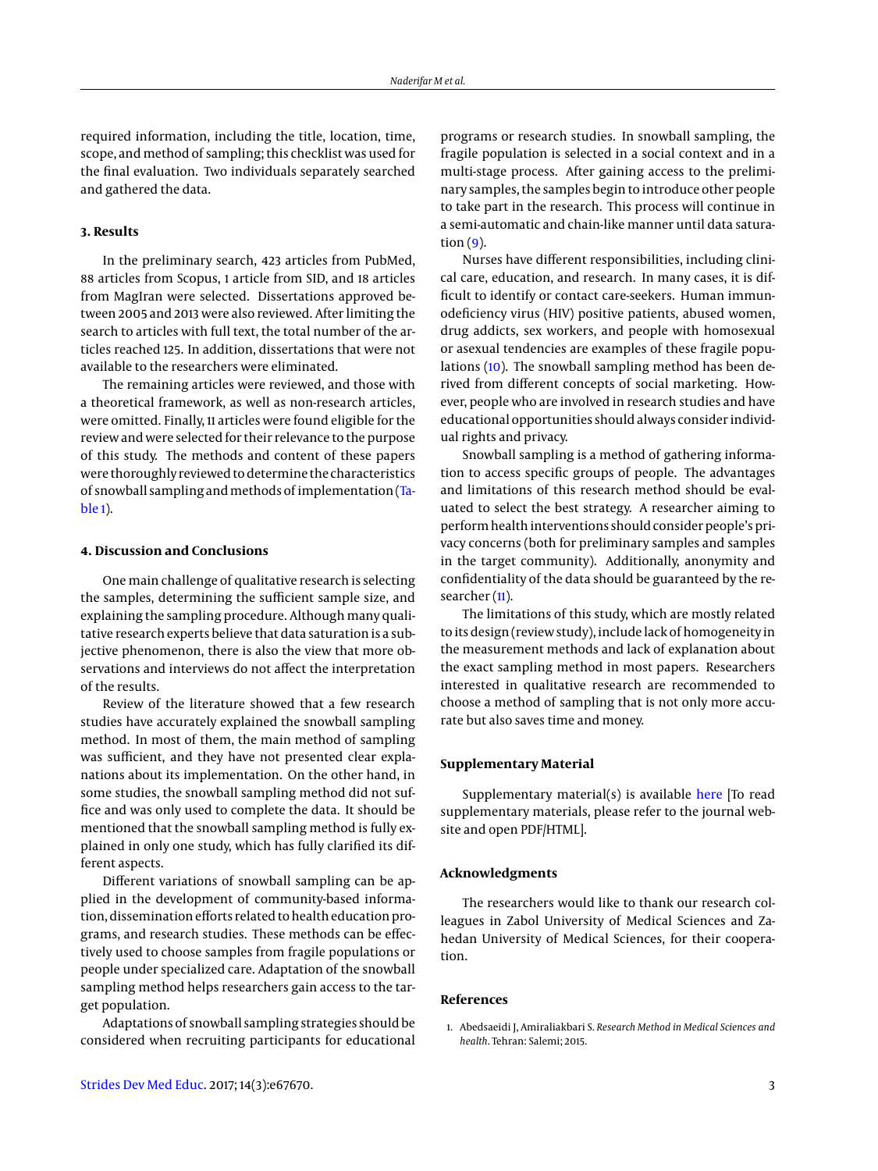required information, including the title, location, time, scope, and method of sampling; this checklist was used for the final evaluation. Two individuals separately searched and gathered the data.

# **3. Results**

In the preliminary search, 423 articles from PubMed, 88 articles from Scopus, 1 article from SID, and 18 articles from MagIran were selected. Dissertations approved between 2005 and 2013 were also reviewed. After limiting the search to articles with full text, the total number of the articles reached 125. In addition, dissertations that were not available to the researchers were eliminated.

The remaining articles were reviewed, and those with a theoretical framework, as well as non-research articles, were omitted. Finally, 11 articles were found eligible for the review and were selected for their relevance to the purpose of this study. The methods and content of these papers were thoroughly reviewed to determine the characteristics of snowball sampling and methods of implementation [\(Ta](#page-3-7)[ble 1\)](#page-3-7).

#### **4. Discussion and Conclusions**

One main challenge of qualitative research is selecting the samples, determining the sufficient sample size, and explaining the sampling procedure. Although many qualitative research experts believe that data saturation is a subjective phenomenon, there is also the view that more observations and interviews do not affect the interpretation of the results.

Review of the literature showed that a few research studies have accurately explained the snowball sampling method. In most of them, the main method of sampling was sufficient, and they have not presented clear explanations about its implementation. On the other hand, in some studies, the snowball sampling method did not suffice and was only used to complete the data. It should be mentioned that the snowball sampling method is fully explained in only one study, which has fully clarified its different aspects.

Different variations of snowball sampling can be applied in the development of community-based information, dissemination efforts related to health education programs, and research studies. These methods can be effectively used to choose samples from fragile populations or people under specialized care. Adaptation of the snowball sampling method helps researchers gain access to the target population.

Adaptations of snowball sampling strategies should be considered when recruiting participants for educational

programs or research studies. In snowball sampling, the fragile population is selected in a social context and in a multi-stage process. After gaining access to the preliminary samples, the samples begin to introduce other people to take part in the research. This process will continue in a semi-automatic and chain-like manner until data satura- $tion (9)$  $tion (9)$ .

Nurses have different responsibilities, including clinical care, education, and research. In many cases, it is difficult to identify or contact care-seekers. Human immunodeficiency virus (HIV) positive patients, abused women, drug addicts, sex workers, and people with homosexual or asexual tendencies are examples of these fragile populations [\(10\)](#page-3-9). The snowball sampling method has been derived from different concepts of social marketing. However, people who are involved in research studies and have educational opportunities should always consider individual rights and privacy.

Snowball sampling is a method of gathering information to access specific groups of people. The advantages and limitations of this research method should be evaluated to select the best strategy. A researcher aiming to perform health interventions should consider people's privacy concerns (both for preliminary samples and samples in the target community). Additionally, anonymity and confidentiality of the data should be guaranteed by the re-searcher [\(11\)](#page-3-10).

The limitations of this study, which are mostly related to its design (review study), include lack of homogeneity in the measurement methods and lack of explanation about the exact sampling method in most papers. Researchers interested in qualitative research are recommended to choose a method of sampling that is not only more accurate but also saves time and money.

#### **Supplementary Material**

Supplementary material( $s$ ) is available [here](http://cdn.neoscriber.org/cdn/serve/3144b/b1f609f7323d9aeb0091f15721831636b04b6764/sdme-inpress-inpress-67670.pdf) [To read supplementary materials, please refer to the journal website and open PDF/HTML].

#### **Acknowledgments**

The researchers would like to thank our research colleagues in Zabol University of Medical Sciences and Zahedan University of Medical Sciences, for their cooperation.

## **References**

<span id="page-2-0"></span>1. Abedsaeidi J, Amiraliakbari S. *Research Method in Medical Sciences and health*. Tehran: Salemi; 2015.